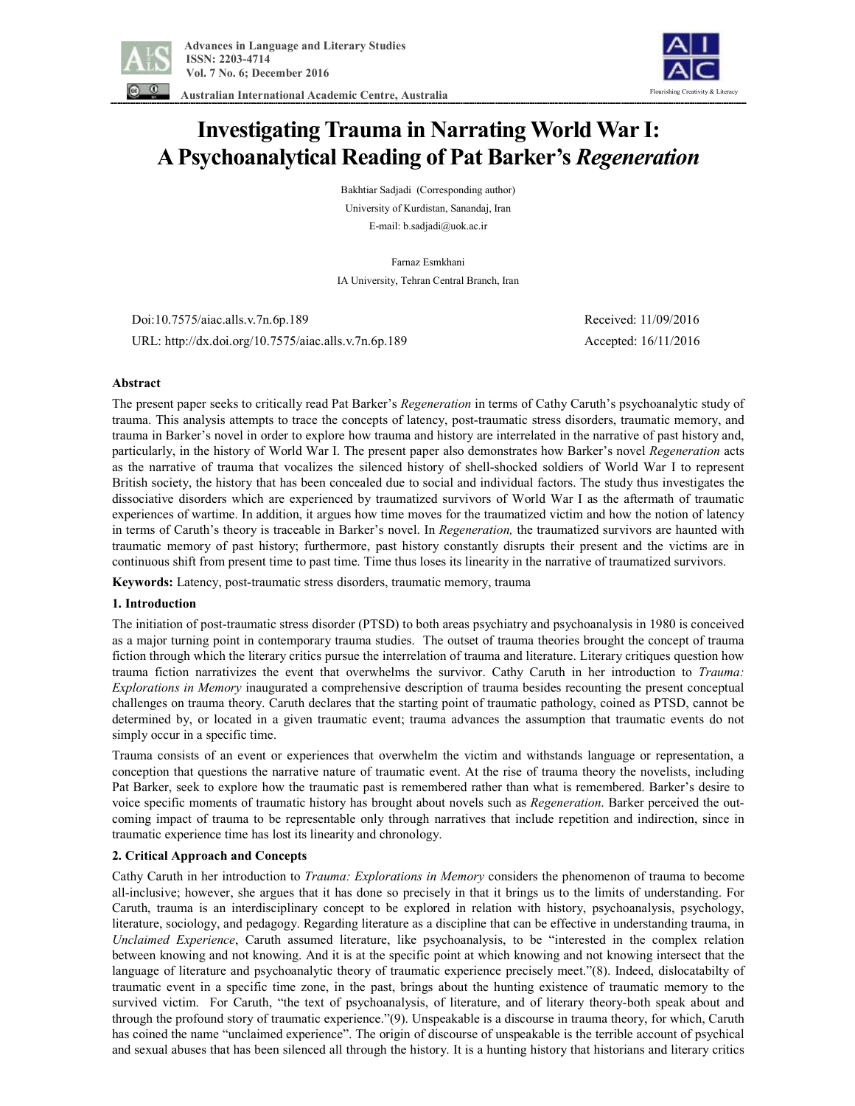



 **Australian International Academic Centre, Australia** 

# **Investigating Trauma in Narrating World War I: A Psychoanalytical Reading of Pat Barker's** *Regeneration*

Bakhtiar Sadjadi (Corresponding author) University of Kurdistan, Sanandaj, Iran E-mail: b.sadjadi@uok.ac.ir

Farnaz Esmkhani IA University, Tehran Central Branch, Iran

 Doi:10.7575/aiac.alls.v.7n.6p.189 Received: 11/09/2016 URL: http://dx.doi.org/10.7575/aiac.alls.v.7n.6p.189 Accepted: 16/11/2016

# **Abstract**

The present paper seeks to critically read Pat Barker's *Regeneration* in terms of Cathy Caruth's psychoanalytic study of trauma. This analysis attempts to trace the concepts of latency, post-traumatic stress disorders, traumatic memory, and trauma in Barker's novel in order to explore how trauma and history are interrelated in the narrative of past history and, particularly, in the history of World War I. The present paper also demonstrates how Barker's novel *Regeneration* acts as the narrative of trauma that vocalizes the silenced history of shell-shocked soldiers of World War I to represent British society, the history that has been concealed due to social and individual factors. The study thus investigates the dissociative disorders which are experienced by traumatized survivors of World War I as the aftermath of traumatic experiences of wartime. In addition, it argues how time moves for the traumatized victim and how the notion of latency in terms of Caruth's theory is traceable in Barker's novel. In *Regeneration,* the traumatized survivors are haunted with traumatic memory of past history; furthermore, past history constantly disrupts their present and the victims are in continuous shift from present time to past time. Time thus loses its linearity in the narrative of traumatized survivors.

**Keywords:** Latency, post-traumatic stress disorders, traumatic memory, trauma

## **1. Introduction**

The initiation of post-traumatic stress disorder (PTSD) to both areas psychiatry and psychoanalysis in 1980 is conceived as a major turning point in contemporary trauma studies. The outset of trauma theories brought the concept of trauma fiction through which the literary critics pursue the interrelation of trauma and literature. Literary critiques question how trauma fiction narrativizes the event that overwhelms the survivor. Cathy Caruth in her introduction to *Trauma: Explorations in Memory* inaugurated a comprehensive description of trauma besides recounting the present conceptual challenges on trauma theory. Caruth declares that the starting point of traumatic pathology, coined as PTSD, cannot be determined by, or located in a given traumatic event; trauma advances the assumption that traumatic events do not simply occur in a specific time.

Trauma consists of an event or experiences that overwhelm the victim and withstands language or representation, a conception that questions the narrative nature of traumatic event. At the rise of trauma theory the novelists, including Pat Barker, seek to explore how the traumatic past is remembered rather than what is remembered. Barker's desire to voice specific moments of traumatic history has brought about novels such as *Regeneration*. Barker perceived the outcoming impact of trauma to be representable only through narratives that include repetition and indirection, since in traumatic experience time has lost its linearity and chronology.

## **2. Critical Approach and Concepts**

Cathy Caruth in her introduction to *Trauma: Explorations in Memory* considers the phenomenon of trauma to become all-inclusive; however, she argues that it has done so precisely in that it brings us to the limits of understanding. For Caruth, trauma is an interdisciplinary concept to be explored in relation with history, psychoanalysis, psychology, literature, sociology, and pedagogy. Regarding literature as a discipline that can be effective in understanding trauma, in *Unclaimed Experience*, Caruth assumed literature, like psychoanalysis, to be "interested in the complex relation between knowing and not knowing. And it is at the specific point at which knowing and not knowing intersect that the language of literature and psychoanalytic theory of traumatic experience precisely meet."(8). Indeed, dislocatabilty of traumatic event in a specific time zone, in the past, brings about the hunting existence of traumatic memory to the survived victim. For Caruth, "the text of psychoanalysis, of literature, and of literary theory-both speak about and through the profound story of traumatic experience."(9). Unspeakable is a discourse in trauma theory, for which, Caruth has coined the name "unclaimed experience". The origin of discourse of unspeakable is the terrible account of psychical and sexual abuses that has been silenced all through the history. It is a hunting history that historians and literary critics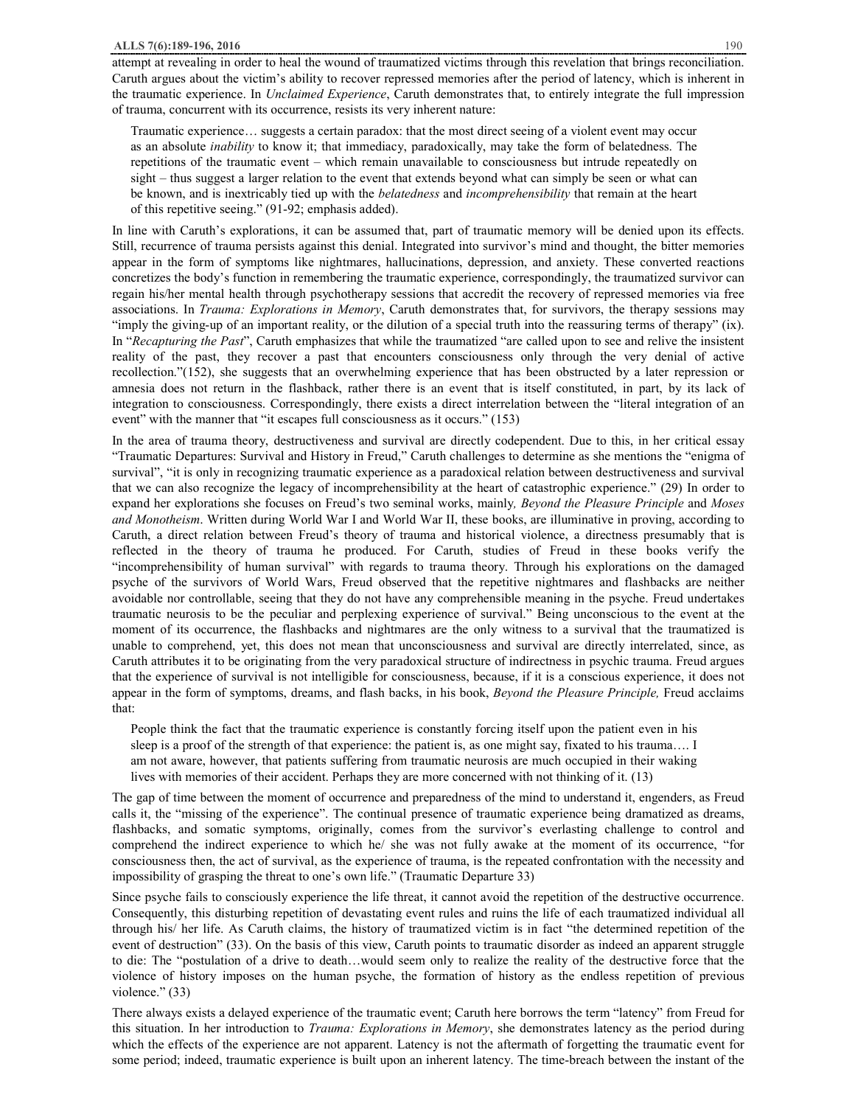attempt at revealing in order to heal the wound of traumatized victims through this revelation that brings reconciliation. Caruth argues about the victim's ability to recover repressed memories after the period of latency, which is inherent in the traumatic experience. In *Unclaimed Experience*, Caruth demonstrates that, to entirely integrate the full impression of trauma, concurrent with its occurrence, resists its very inherent nature:

Traumatic experience… suggests a certain paradox: that the most direct seeing of a violent event may occur as an absolute *inability* to know it; that immediacy, paradoxically, may take the form of belatedness. The repetitions of the traumatic event – which remain unavailable to consciousness but intrude repeatedly on sight – thus suggest a larger relation to the event that extends beyond what can simply be seen or what can be known, and is inextricably tied up with the *belatedness* and *incomprehensibility* that remain at the heart of this repetitive seeing." (91-92; emphasis added).

In line with Caruth's explorations, it can be assumed that, part of traumatic memory will be denied upon its effects. Still, recurrence of trauma persists against this denial. Integrated into survivor's mind and thought, the bitter memories appear in the form of symptoms like nightmares, hallucinations, depression, and anxiety. These converted reactions concretizes the body's function in remembering the traumatic experience, correspondingly, the traumatized survivor can regain his/her mental health through psychotherapy sessions that accredit the recovery of repressed memories via free associations. In *Trauma: Explorations in Memory*, Caruth demonstrates that, for survivors, the therapy sessions may "imply the giving-up of an important reality, or the dilution of a special truth into the reassuring terms of therapy" (ix). In "*Recapturing the Past*", Caruth emphasizes that while the traumatized "are called upon to see and relive the insistent reality of the past, they recover a past that encounters consciousness only through the very denial of active recollection."(152), she suggests that an overwhelming experience that has been obstructed by a later repression or amnesia does not return in the flashback, rather there is an event that is itself constituted, in part, by its lack of integration to consciousness. Correspondingly, there exists a direct interrelation between the "literal integration of an event" with the manner that "it escapes full consciousness as it occurs." (153)

In the area of trauma theory, destructiveness and survival are directly codependent. Due to this, in her critical essay "Traumatic Departures: Survival and History in Freud," Caruth challenges to determine as she mentions the "enigma of survival", "it is only in recognizing traumatic experience as a paradoxical relation between destructiveness and survival that we can also recognize the legacy of incomprehensibility at the heart of catastrophic experience." (29) In order to expand her explorations she focuses on Freud's two seminal works, mainly*, Beyond the Pleasure Principle* and *Moses and Monotheism*. Written during World War I and World War II, these books, are illuminative in proving, according to Caruth, a direct relation between Freud's theory of trauma and historical violence, a directness presumably that is reflected in the theory of trauma he produced. For Caruth, studies of Freud in these books verify the "incomprehensibility of human survival" with regards to trauma theory. Through his explorations on the damaged psyche of the survivors of World Wars, Freud observed that the repetitive nightmares and flashbacks are neither avoidable nor controllable, seeing that they do not have any comprehensible meaning in the psyche. Freud undertakes traumatic neurosis to be the peculiar and perplexing experience of survival." Being unconscious to the event at the moment of its occurrence, the flashbacks and nightmares are the only witness to a survival that the traumatized is unable to comprehend, yet, this does not mean that unconsciousness and survival are directly interrelated, since, as Caruth attributes it to be originating from the very paradoxical structure of indirectness in psychic trauma. Freud argues that the experience of survival is not intelligible for consciousness, because, if it is a conscious experience, it does not appear in the form of symptoms, dreams, and flash backs, in his book, *Beyond the Pleasure Principle,* Freud acclaims that:

People think the fact that the traumatic experience is constantly forcing itself upon the patient even in his sleep is a proof of the strength of that experience: the patient is, as one might say, fixated to his trauma…. I am not aware, however, that patients suffering from traumatic neurosis are much occupied in their waking lives with memories of their accident. Perhaps they are more concerned with not thinking of it. (13)

The gap of time between the moment of occurrence and preparedness of the mind to understand it, engenders, as Freud calls it, the "missing of the experience". The continual presence of traumatic experience being dramatized as dreams, flashbacks, and somatic symptoms, originally, comes from the survivor's everlasting challenge to control and comprehend the indirect experience to which he/ she was not fully awake at the moment of its occurrence, "for consciousness then, the act of survival, as the experience of trauma, is the repeated confrontation with the necessity and impossibility of grasping the threat to one's own life." (Traumatic Departure 33)

Since psyche fails to consciously experience the life threat, it cannot avoid the repetition of the destructive occurrence. Consequently, this disturbing repetition of devastating event rules and ruins the life of each traumatized individual all through his/ her life. As Caruth claims, the history of traumatized victim is in fact "the determined repetition of the event of destruction" (33). On the basis of this view, Caruth points to traumatic disorder as indeed an apparent struggle to die: The "postulation of a drive to death…would seem only to realize the reality of the destructive force that the violence of history imposes on the human psyche, the formation of history as the endless repetition of previous violence." (33)

There always exists a delayed experience of the traumatic event; Caruth here borrows the term "latency" from Freud for this situation. In her introduction to *Trauma: Explorations in Memory*, she demonstrates latency as the period during which the effects of the experience are not apparent. Latency is not the aftermath of forgetting the traumatic event for some period; indeed, traumatic experience is built upon an inherent latency. The time-breach between the instant of the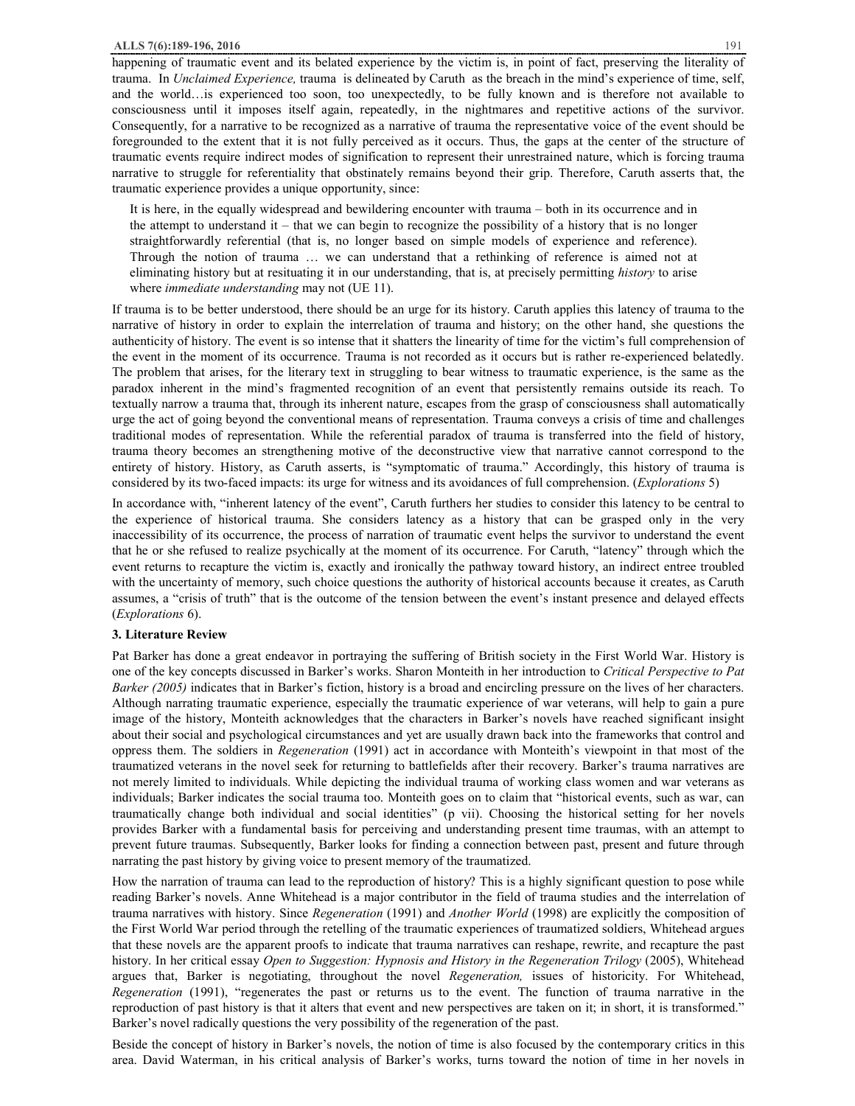happening of traumatic event and its belated experience by the victim is, in point of fact, preserving the literality of trauma. In *Unclaimed Experience,* trauma is delineated by Caruth as the breach in the mind's experience of time, self, and the world…is experienced too soon, too unexpectedly, to be fully known and is therefore not available to consciousness until it imposes itself again, repeatedly, in the nightmares and repetitive actions of the survivor. Consequently, for a narrative to be recognized as a narrative of trauma the representative voice of the event should be foregrounded to the extent that it is not fully perceived as it occurs. Thus, the gaps at the center of the structure of traumatic events require indirect modes of signification to represent their unrestrained nature, which is forcing trauma narrative to struggle for referentiality that obstinately remains beyond their grip. Therefore, Caruth asserts that, the traumatic experience provides a unique opportunity, since:

It is here, in the equally widespread and bewildering encounter with trauma – both in its occurrence and in the attempt to understand it – that we can begin to recognize the possibility of a history that is no longer straightforwardly referential (that is, no longer based on simple models of experience and reference). Through the notion of trauma … we can understand that a rethinking of reference is aimed not at eliminating history but at resituating it in our understanding, that is, at precisely permitting *history* to arise where *immediate understanding* may not (UE 11).

If trauma is to be better understood, there should be an urge for its history. Caruth applies this latency of trauma to the narrative of history in order to explain the interrelation of trauma and history; on the other hand, she questions the authenticity of history. The event is so intense that it shatters the linearity of time for the victim's full comprehension of the event in the moment of its occurrence. Trauma is not recorded as it occurs but is rather re-experienced belatedly. The problem that arises, for the literary text in struggling to bear witness to traumatic experience, is the same as the paradox inherent in the mind's fragmented recognition of an event that persistently remains outside its reach. To textually narrow a trauma that, through its inherent nature, escapes from the grasp of consciousness shall automatically urge the act of going beyond the conventional means of representation. Trauma conveys a crisis of time and challenges traditional modes of representation. While the referential paradox of trauma is transferred into the field of history, trauma theory becomes an strengthening motive of the deconstructive view that narrative cannot correspond to the entirety of history. History, as Caruth asserts, is "symptomatic of trauma." Accordingly, this history of trauma is considered by its two-faced impacts: its urge for witness and its avoidances of full comprehension. (*Explorations* 5)

In accordance with, "inherent latency of the event", Caruth furthers her studies to consider this latency to be central to the experience of historical trauma. She considers latency as a history that can be grasped only in the very inaccessibility of its occurrence, the process of narration of traumatic event helps the survivor to understand the event that he or she refused to realize psychically at the moment of its occurrence. For Caruth, "latency" through which the event returns to recapture the victim is, exactly and ironically the pathway toward history, an indirect entree troubled with the uncertainty of memory, such choice questions the authority of historical accounts because it creates, as Caruth assumes, a "crisis of truth" that is the outcome of the tension between the event's instant presence and delayed effects (*Explorations* 6).

#### **3. Literature Review**

Pat Barker has done a great endeavor in portraying the suffering of British society in the First World War. History is one of the key concepts discussed in Barker's works. Sharon Monteith in her introduction to *Critical Perspective to Pat Barker (2005)* indicates that in Barker's fiction, history is a broad and encircling pressure on the lives of her characters. Although narrating traumatic experience, especially the traumatic experience of war veterans, will help to gain a pure image of the history, Monteith acknowledges that the characters in Barker's novels have reached significant insight about their social and psychological circumstances and yet are usually drawn back into the frameworks that control and oppress them. The soldiers in *Regeneration* (1991) act in accordance with Monteith's viewpoint in that most of the traumatized veterans in the novel seek for returning to battlefields after their recovery. Barker's trauma narratives are not merely limited to individuals. While depicting the individual trauma of working class women and war veterans as individuals; Barker indicates the social trauma too. Monteith goes on to claim that "historical events, such as war, can traumatically change both individual and social identities" (p vii). Choosing the historical setting for her novels provides Barker with a fundamental basis for perceiving and understanding present time traumas, with an attempt to prevent future traumas. Subsequently, Barker looks for finding a connection between past, present and future through narrating the past history by giving voice to present memory of the traumatized.

How the narration of trauma can lead to the reproduction of history? This is a highly significant question to pose while reading Barker's novels. Anne Whitehead is a major contributor in the field of trauma studies and the interrelation of trauma narratives with history. Since *Regeneration* (1991) and *Another World* (1998) are explicitly the composition of the First World War period through the retelling of the traumatic experiences of traumatized soldiers, Whitehead argues that these novels are the apparent proofs to indicate that trauma narratives can reshape, rewrite, and recapture the past history. In her critical essay *Open to Suggestion: Hypnosis and History in the Regeneration Trilogy* (2005), Whitehead argues that, Barker is negotiating, throughout the novel *Regeneration,* issues of historicity. For Whitehead, *Regeneration* (1991), "regenerates the past or returns us to the event. The function of trauma narrative in the reproduction of past history is that it alters that event and new perspectives are taken on it; in short, it is transformed." Barker's novel radically questions the very possibility of the regeneration of the past.

Beside the concept of history in Barker's novels, the notion of time is also focused by the contemporary critics in this area. David Waterman, in his critical analysis of Barker's works, turns toward the notion of time in her novels in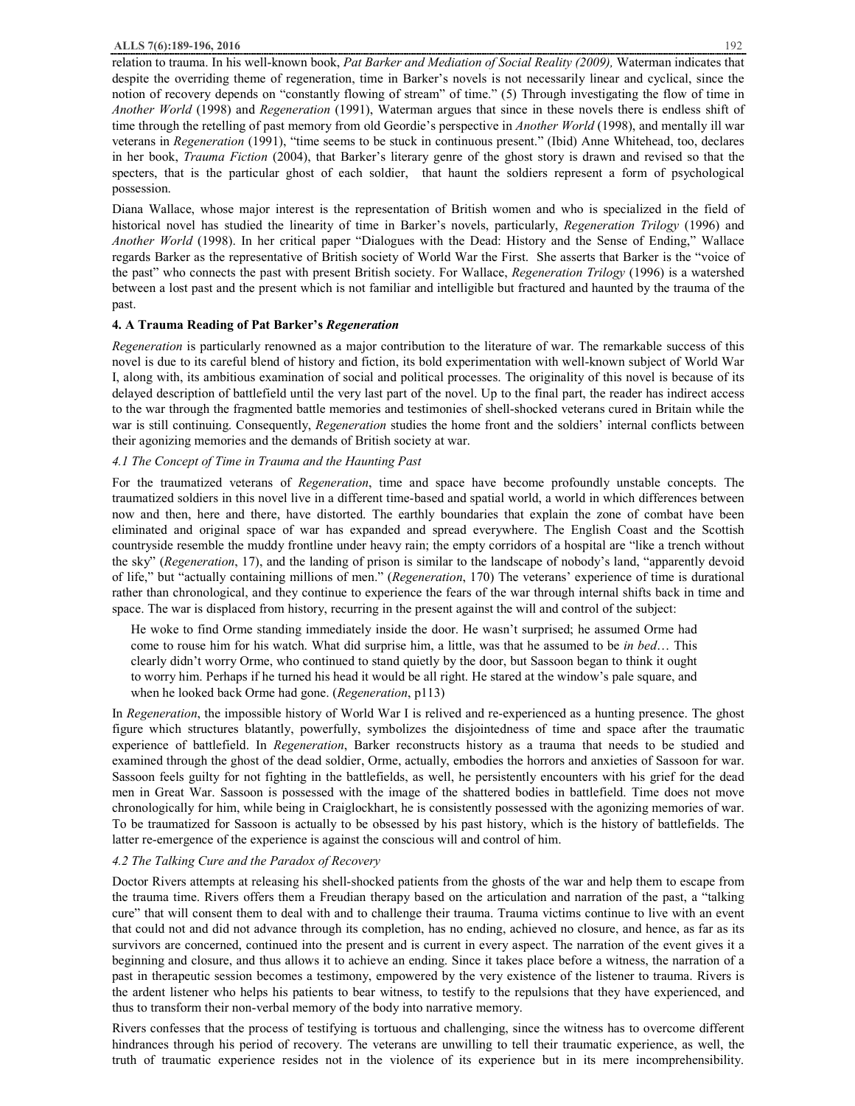relation to trauma. In his well-known book, *Pat Barker and Mediation of Social Reality (2009),* Waterman indicates that despite the overriding theme of regeneration, time in Barker's novels is not necessarily linear and cyclical, since the notion of recovery depends on "constantly flowing of stream" of time." (5) Through investigating the flow of time in *Another World* (1998) and *Regeneration* (1991), Waterman argues that since in these novels there is endless shift of time through the retelling of past memory from old Geordie's perspective in *Another World* (1998), and mentally ill war veterans in *Regeneration* (1991), "time seems to be stuck in continuous present." (Ibid) Anne Whitehead, too, declares in her book, *Trauma Fiction* (2004), that Barker's literary genre of the ghost story is drawn and revised so that the specters, that is the particular ghost of each soldier, that haunt the soldiers represent a form of psychological possession.

Diana Wallace, whose major interest is the representation of British women and who is specialized in the field of historical novel has studied the linearity of time in Barker's novels, particularly, *Regeneration Trilogy* (1996) and *Another World* (1998). In her critical paper "Dialogues with the Dead: History and the Sense of Ending," Wallace regards Barker as the representative of British society of World War the First. She asserts that Barker is the "voice of the past" who connects the past with present British society. For Wallace, *Regeneration Trilogy* (1996) is a watershed between a lost past and the present which is not familiar and intelligible but fractured and haunted by the trauma of the past.

## **4. A Trauma Reading of Pat Barker's** *Regeneration*

*Regeneration* is particularly renowned as a major contribution to the literature of war. The remarkable success of this novel is due to its careful blend of history and fiction, its bold experimentation with well-known subject of World War I, along with, its ambitious examination of social and political processes. The originality of this novel is because of its delayed description of battlefield until the very last part of the novel. Up to the final part, the reader has indirect access to the war through the fragmented battle memories and testimonies of shell-shocked veterans cured in Britain while the war is still continuing. Consequently, *Regeneration* studies the home front and the soldiers' internal conflicts between their agonizing memories and the demands of British society at war.

#### *4.1 The Concept of Time in Trauma and the Haunting Past*

For the traumatized veterans of *Regeneration*, time and space have become profoundly unstable concepts. The traumatized soldiers in this novel live in a different time-based and spatial world, a world in which differences between now and then, here and there, have distorted. The earthly boundaries that explain the zone of combat have been eliminated and original space of war has expanded and spread everywhere. The English Coast and the Scottish countryside resemble the muddy frontline under heavy rain; the empty corridors of a hospital are "like a trench without the sky" (*Regeneration*, 17), and the landing of prison is similar to the landscape of nobody's land, "apparently devoid of life," but "actually containing millions of men." (*Regeneration*, 170) The veterans' experience of time is durational rather than chronological, and they continue to experience the fears of the war through internal shifts back in time and space. The war is displaced from history, recurring in the present against the will and control of the subject:

He woke to find Orme standing immediately inside the door. He wasn't surprised; he assumed Orme had come to rouse him for his watch. What did surprise him, a little, was that he assumed to be *in bed*… This clearly didn't worry Orme, who continued to stand quietly by the door, but Sassoon began to think it ought to worry him. Perhaps if he turned his head it would be all right. He stared at the window's pale square, and when he looked back Orme had gone. (*Regeneration*, p113)

In *Regeneration*, the impossible history of World War I is relived and re-experienced as a hunting presence. The ghost figure which structures blatantly, powerfully, symbolizes the disjointedness of time and space after the traumatic experience of battlefield. In *Regeneration*, Barker reconstructs history as a trauma that needs to be studied and examined through the ghost of the dead soldier, Orme, actually, embodies the horrors and anxieties of Sassoon for war. Sassoon feels guilty for not fighting in the battlefields, as well, he persistently encounters with his grief for the dead men in Great War. Sassoon is possessed with the image of the shattered bodies in battlefield. Time does not move chronologically for him, while being in Craiglockhart, he is consistently possessed with the agonizing memories of war. To be traumatized for Sassoon is actually to be obsessed by his past history, which is the history of battlefields. The latter re-emergence of the experience is against the conscious will and control of him.

# *4.2 The Talking Cure and the Paradox of Recovery*

Doctor Rivers attempts at releasing his shell-shocked patients from the ghosts of the war and help them to escape from the trauma time. Rivers offers them a Freudian therapy based on the articulation and narration of the past, a "talking cure" that will consent them to deal with and to challenge their trauma. Trauma victims continue to live with an event that could not and did not advance through its completion, has no ending, achieved no closure, and hence, as far as its survivors are concerned, continued into the present and is current in every aspect. The narration of the event gives it a beginning and closure, and thus allows it to achieve an ending. Since it takes place before a witness, the narration of a past in therapeutic session becomes a testimony, empowered by the very existence of the listener to trauma. Rivers is the ardent listener who helps his patients to bear witness, to testify to the repulsions that they have experienced, and thus to transform their non-verbal memory of the body into narrative memory.

Rivers confesses that the process of testifying is tortuous and challenging, since the witness has to overcome different hindrances through his period of recovery. The veterans are unwilling to tell their traumatic experience, as well, the truth of traumatic experience resides not in the violence of its experience but in its mere incomprehensibility.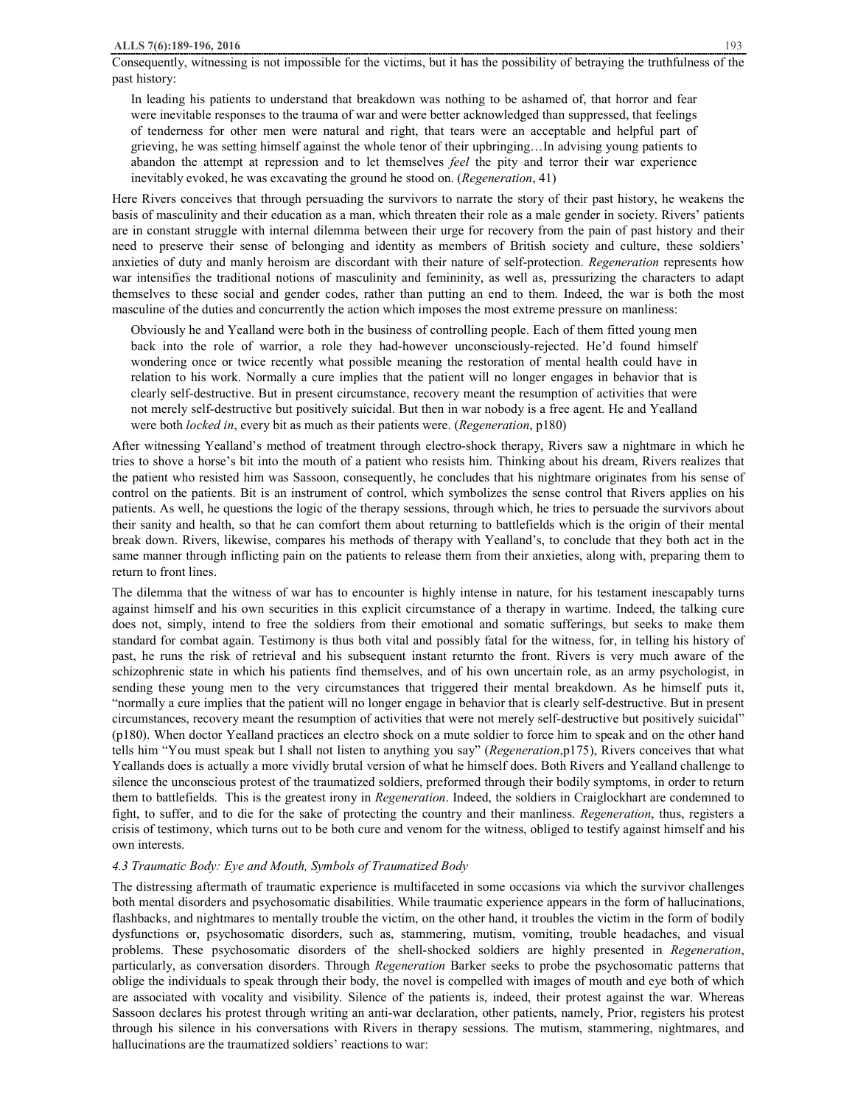Consequently, witnessing is not impossible for the victims, but it has the possibility of betraying the truthfulness of the past history:

In leading his patients to understand that breakdown was nothing to be ashamed of, that horror and fear were inevitable responses to the trauma of war and were better acknowledged than suppressed, that feelings of tenderness for other men were natural and right, that tears were an acceptable and helpful part of grieving, he was setting himself against the whole tenor of their upbringing…In advising young patients to abandon the attempt at repression and to let themselves *feel* the pity and terror their war experience inevitably evoked, he was excavating the ground he stood on. (*Regeneration*, 41)

Here Rivers conceives that through persuading the survivors to narrate the story of their past history, he weakens the basis of masculinity and their education as a man, which threaten their role as a male gender in society. Rivers' patients are in constant struggle with internal dilemma between their urge for recovery from the pain of past history and their need to preserve their sense of belonging and identity as members of British society and culture, these soldiers' anxieties of duty and manly heroism are discordant with their nature of self-protection. *Regeneration* represents how war intensifies the traditional notions of masculinity and femininity, as well as, pressurizing the characters to adapt themselves to these social and gender codes, rather than putting an end to them. Indeed, the war is both the most masculine of the duties and concurrently the action which imposes the most extreme pressure on manliness:

Obviously he and Yealland were both in the business of controlling people. Each of them fitted young men back into the role of warrior, a role they had-however unconsciously-rejected. He'd found himself wondering once or twice recently what possible meaning the restoration of mental health could have in relation to his work. Normally a cure implies that the patient will no longer engages in behavior that is clearly self-destructive. But in present circumstance, recovery meant the resumption of activities that were not merely self-destructive but positively suicidal. But then in war nobody is a free agent. He and Yealland were both *locked in*, every bit as much as their patients were. (*Regeneration*, p180)

After witnessing Yealland's method of treatment through electro-shock therapy, Rivers saw a nightmare in which he tries to shove a horse's bit into the mouth of a patient who resists him. Thinking about his dream, Rivers realizes that the patient who resisted him was Sassoon, consequently, he concludes that his nightmare originates from his sense of control on the patients. Bit is an instrument of control, which symbolizes the sense control that Rivers applies on his patients. As well, he questions the logic of the therapy sessions, through which, he tries to persuade the survivors about their sanity and health, so that he can comfort them about returning to battlefields which is the origin of their mental break down. Rivers, likewise, compares his methods of therapy with Yealland's, to conclude that they both act in the same manner through inflicting pain on the patients to release them from their anxieties, along with, preparing them to return to front lines.

The dilemma that the witness of war has to encounter is highly intense in nature, for his testament inescapably turns against himself and his own securities in this explicit circumstance of a therapy in wartime. Indeed, the talking cure does not, simply, intend to free the soldiers from their emotional and somatic sufferings, but seeks to make them standard for combat again. Testimony is thus both vital and possibly fatal for the witness, for, in telling his history of past, he runs the risk of retrieval and his subsequent instant returnto the front. Rivers is very much aware of the schizophrenic state in which his patients find themselves, and of his own uncertain role, as an army psychologist, in sending these young men to the very circumstances that triggered their mental breakdown. As he himself puts it, "normally a cure implies that the patient will no longer engage in behavior that is clearly self-destructive. But in present circumstances, recovery meant the resumption of activities that were not merely self-destructive but positively suicidal" (p180). When doctor Yealland practices an electro shock on a mute soldier to force him to speak and on the other hand tells him "You must speak but I shall not listen to anything you say" (*Regeneration*,p175), Rivers conceives that what Yeallands does is actually a more vividly brutal version of what he himself does. Both Rivers and Yealland challenge to silence the unconscious protest of the traumatized soldiers, preformed through their bodily symptoms, in order to return them to battlefields. This is the greatest irony in *Regeneration*. Indeed, the soldiers in Craiglockhart are condemned to fight, to suffer, and to die for the sake of protecting the country and their manliness. *Regeneration*, thus, registers a crisis of testimony, which turns out to be both cure and venom for the witness, obliged to testify against himself and his own interests.

## *4.3 Traumatic Body: Eye and Mouth, Symbols of Traumatized Body*

The distressing aftermath of traumatic experience is multifaceted in some occasions via which the survivor challenges both mental disorders and psychosomatic disabilities. While traumatic experience appears in the form of hallucinations, flashbacks, and nightmares to mentally trouble the victim, on the other hand, it troubles the victim in the form of bodily dysfunctions or, psychosomatic disorders, such as, stammering, mutism, vomiting, trouble headaches, and visual problems. These psychosomatic disorders of the shell-shocked soldiers are highly presented in *Regeneration*, particularly, as conversation disorders. Through *Regeneration* Barker seeks to probe the psychosomatic patterns that oblige the individuals to speak through their body, the novel is compelled with images of mouth and eye both of which are associated with vocality and visibility. Silence of the patients is, indeed, their protest against the war. Whereas Sassoon declares his protest through writing an anti-war declaration, other patients, namely, Prior, registers his protest through his silence in his conversations with Rivers in therapy sessions. The mutism, stammering, nightmares, and hallucinations are the traumatized soldiers' reactions to war: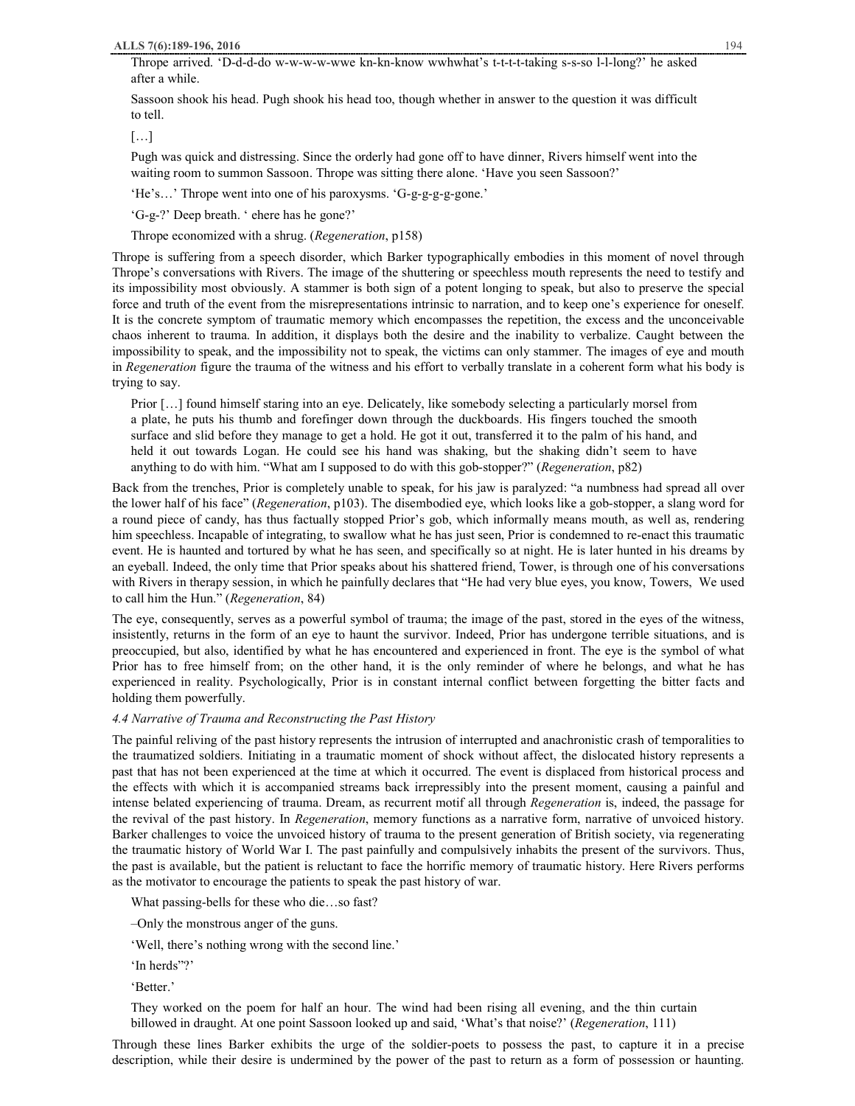Thrope arrived. 'D-d-d-do w-w-w-w-wwe kn-kn-know wwhwhat's t-t-t-t-taking s-s-so l-l-long?' he asked after a while.

Sassoon shook his head. Pugh shook his head too, though whether in answer to the question it was difficult to tell.

[…]

Pugh was quick and distressing. Since the orderly had gone off to have dinner, Rivers himself went into the waiting room to summon Sassoon. Thrope was sitting there alone. 'Have you seen Sassoon?'

'He's…' Thrope went into one of his paroxysms. 'G-g-g-g-g-gone.'

'G-g-?' Deep breath. ' ehere has he gone?'

Thrope economized with a shrug. (*Regeneration*, p158)

Thrope is suffering from a speech disorder, which Barker typographically embodies in this moment of novel through Thrope's conversations with Rivers. The image of the shuttering or speechless mouth represents the need to testify and its impossibility most obviously. A stammer is both sign of a potent longing to speak, but also to preserve the special force and truth of the event from the misrepresentations intrinsic to narration, and to keep one's experience for oneself. It is the concrete symptom of traumatic memory which encompasses the repetition, the excess and the unconceivable chaos inherent to trauma. In addition, it displays both the desire and the inability to verbalize. Caught between the impossibility to speak, and the impossibility not to speak, the victims can only stammer. The images of eye and mouth in *Regeneration* figure the trauma of the witness and his effort to verbally translate in a coherent form what his body is trying to say.

Prior […] found himself staring into an eye. Delicately, like somebody selecting a particularly morsel from a plate, he puts his thumb and forefinger down through the duckboards. His fingers touched the smooth surface and slid before they manage to get a hold. He got it out, transferred it to the palm of his hand, and held it out towards Logan. He could see his hand was shaking, but the shaking didn't seem to have anything to do with him. "What am I supposed to do with this gob-stopper?" (*Regeneration*, p82)

Back from the trenches, Prior is completely unable to speak, for his jaw is paralyzed: "a numbness had spread all over the lower half of his face" (*Regeneration*, p103). The disembodied eye, which looks like a gob-stopper, a slang word for a round piece of candy, has thus factually stopped Prior's gob, which informally means mouth, as well as, rendering him speechless. Incapable of integrating, to swallow what he has just seen, Prior is condemned to re-enact this traumatic event. He is haunted and tortured by what he has seen, and specifically so at night. He is later hunted in his dreams by an eyeball. Indeed, the only time that Prior speaks about his shattered friend, Tower, is through one of his conversations with Rivers in therapy session, in which he painfully declares that "He had very blue eyes, you know, Towers, We used to call him the Hun." (*Regeneration*, 84)

The eye, consequently, serves as a powerful symbol of trauma; the image of the past, stored in the eyes of the witness, insistently, returns in the form of an eye to haunt the survivor. Indeed, Prior has undergone terrible situations, and is preoccupied, but also, identified by what he has encountered and experienced in front. The eye is the symbol of what Prior has to free himself from; on the other hand, it is the only reminder of where he belongs, and what he has experienced in reality. Psychologically, Prior is in constant internal conflict between forgetting the bitter facts and holding them powerfully.

## *4.4 Narrative of Trauma and Reconstructing the Past History*

The painful reliving of the past history represents the intrusion of interrupted and anachronistic crash of temporalities to the traumatized soldiers. Initiating in a traumatic moment of shock without affect, the dislocated history represents a past that has not been experienced at the time at which it occurred. The event is displaced from historical process and the effects with which it is accompanied streams back irrepressibly into the present moment, causing a painful and intense belated experiencing of trauma. Dream, as recurrent motif all through *Regeneration* is, indeed, the passage for the revival of the past history. In *Regeneration*, memory functions as a narrative form, narrative of unvoiced history. Barker challenges to voice the unvoiced history of trauma to the present generation of British society, via regenerating the traumatic history of World War I. The past painfully and compulsively inhabits the present of the survivors. Thus, the past is available, but the patient is reluctant to face the horrific memory of traumatic history. Here Rivers performs as the motivator to encourage the patients to speak the past history of war.

What passing-bells for these who die…so fast?

‒Only the monstrous anger of the guns.

'Well, there's nothing wrong with the second line.'

'In herds"?'

'Better.'

They worked on the poem for half an hour. The wind had been rising all evening, and the thin curtain billowed in draught. At one point Sassoon looked up and said, 'What's that noise?' (*Regeneration*, 111)

Through these lines Barker exhibits the urge of the soldier-poets to possess the past, to capture it in a precise description, while their desire is undermined by the power of the past to return as a form of possession or haunting.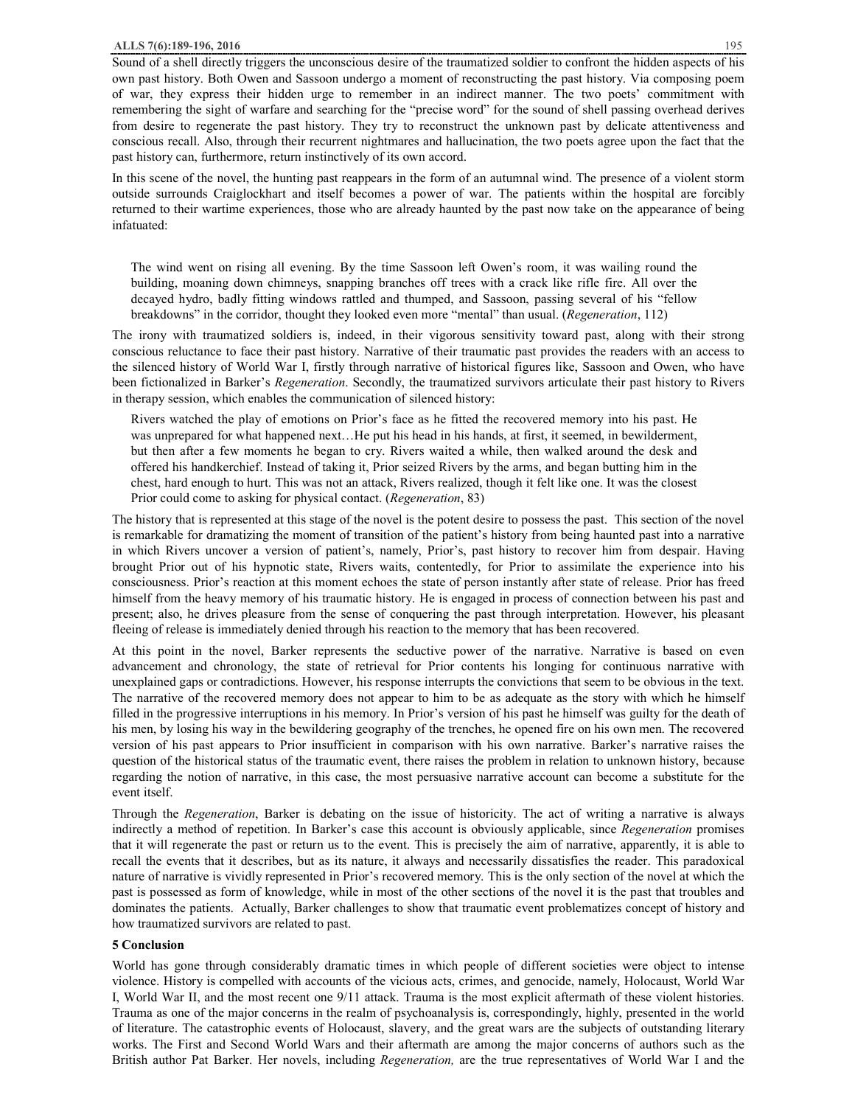Sound of a shell directly triggers the unconscious desire of the traumatized soldier to confront the hidden aspects of his own past history. Both Owen and Sassoon undergo a moment of reconstructing the past history. Via composing poem of war, they express their hidden urge to remember in an indirect manner. The two poets' commitment with remembering the sight of warfare and searching for the "precise word" for the sound of shell passing overhead derives from desire to regenerate the past history. They try to reconstruct the unknown past by delicate attentiveness and conscious recall. Also, through their recurrent nightmares and hallucination, the two poets agree upon the fact that the past history can, furthermore, return instinctively of its own accord.

In this scene of the novel, the hunting past reappears in the form of an autumnal wind. The presence of a violent storm outside surrounds Craiglockhart and itself becomes a power of war. The patients within the hospital are forcibly returned to their wartime experiences, those who are already haunted by the past now take on the appearance of being infatuated:

The wind went on rising all evening. By the time Sassoon left Owen's room, it was wailing round the building, moaning down chimneys, snapping branches off trees with a crack like rifle fire. All over the decayed hydro, badly fitting windows rattled and thumped, and Sassoon, passing several of his "fellow breakdowns" in the corridor, thought they looked even more "mental" than usual. (*Regeneration*, 112)

The irony with traumatized soldiers is, indeed, in their vigorous sensitivity toward past, along with their strong conscious reluctance to face their past history. Narrative of their traumatic past provides the readers with an access to the silenced history of World War I, firstly through narrative of historical figures like, Sassoon and Owen, who have been fictionalized in Barker's *Regeneration*. Secondly, the traumatized survivors articulate their past history to Rivers in therapy session, which enables the communication of silenced history:

Rivers watched the play of emotions on Prior's face as he fitted the recovered memory into his past. He was unprepared for what happened next…He put his head in his hands, at first, it seemed, in bewilderment, but then after a few moments he began to cry. Rivers waited a while, then walked around the desk and offered his handkerchief. Instead of taking it, Prior seized Rivers by the arms, and began butting him in the chest, hard enough to hurt. This was not an attack, Rivers realized, though it felt like one. It was the closest Prior could come to asking for physical contact. (*Regeneration*, 83)

The history that is represented at this stage of the novel is the potent desire to possess the past. This section of the novel is remarkable for dramatizing the moment of transition of the patient's history from being haunted past into a narrative in which Rivers uncover a version of patient's, namely, Prior's, past history to recover him from despair. Having brought Prior out of his hypnotic state, Rivers waits, contentedly, for Prior to assimilate the experience into his consciousness. Prior's reaction at this moment echoes the state of person instantly after state of release. Prior has freed himself from the heavy memory of his traumatic history. He is engaged in process of connection between his past and present; also, he drives pleasure from the sense of conquering the past through interpretation. However, his pleasant fleeing of release is immediately denied through his reaction to the memory that has been recovered.

At this point in the novel, Barker represents the seductive power of the narrative. Narrative is based on even advancement and chronology, the state of retrieval for Prior contents his longing for continuous narrative with unexplained gaps or contradictions. However, his response interrupts the convictions that seem to be obvious in the text. The narrative of the recovered memory does not appear to him to be as adequate as the story with which he himself filled in the progressive interruptions in his memory. In Prior's version of his past he himself was guilty for the death of his men, by losing his way in the bewildering geography of the trenches, he opened fire on his own men. The recovered version of his past appears to Prior insufficient in comparison with his own narrative. Barker's narrative raises the question of the historical status of the traumatic event, there raises the problem in relation to unknown history, because regarding the notion of narrative, in this case, the most persuasive narrative account can become a substitute for the event itself.

Through the *Regeneration*, Barker is debating on the issue of historicity. The act of writing a narrative is always indirectly a method of repetition. In Barker's case this account is obviously applicable, since *Regeneration* promises that it will regenerate the past or return us to the event. This is precisely the aim of narrative, apparently, it is able to recall the events that it describes, but as its nature, it always and necessarily dissatisfies the reader. This paradoxical nature of narrative is vividly represented in Prior's recovered memory. This is the only section of the novel at which the past is possessed as form of knowledge, while in most of the other sections of the novel it is the past that troubles and dominates the patients. Actually, Barker challenges to show that traumatic event problematizes concept of history and how traumatized survivors are related to past.

# **5 Conclusion**

World has gone through considerably dramatic times in which people of different societies were object to intense violence. History is compelled with accounts of the vicious acts, crimes, and genocide, namely, Holocaust, World War I, World War II, and the most recent one 9/11 attack. Trauma is the most explicit aftermath of these violent histories. Trauma as one of the major concerns in the realm of psychoanalysis is, correspondingly, highly, presented in the world of literature. The catastrophic events of Holocaust, slavery, and the great wars are the subjects of outstanding literary works. The First and Second World Wars and their aftermath are among the major concerns of authors such as the British author Pat Barker. Her novels, including *Regeneration,* are the true representatives of World War I and the